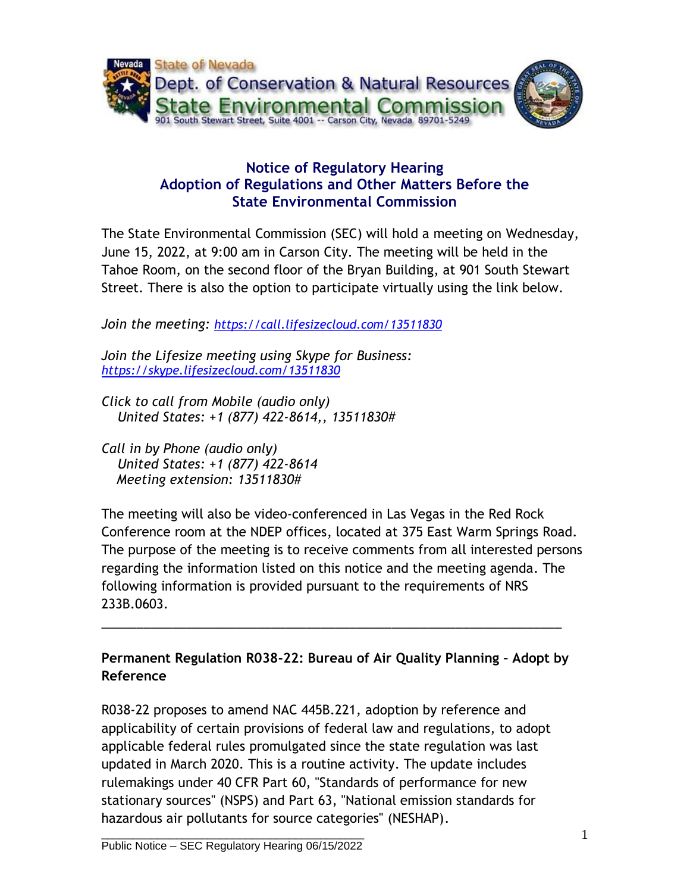

## **Notice of Regulatory Hearing Adoption of Regulations and Other Matters Before the State Environmental Commission**

The State Environmental Commission (SEC) will hold a meeting on Wednesday, June 15, 2022, at 9:00 am in Carson City. The meeting will be held in the Tahoe Room, on the second floor of the Bryan Building, at 901 South Stewart Street. There is also the option to participate virtually using the link below.

*Join the meeting: <https://call.lifesizecloud.com/13511830>*

*Join the Lifesize meeting using Skype for Business: <https://skype.lifesizecloud.com/13511830>*

*Click to call from Mobile (audio only) United States: +1 (877) 422-8614,, 13511830#*

*Call in by Phone (audio only) United States: +1 (877) 422-8614 Meeting extension: 13511830#*

The meeting will also be video-conferenced in Las Vegas in the Red Rock Conference room at the NDEP offices, located at 375 East Warm Springs Road. The purpose of the meeting is to receive comments from all interested persons regarding the information listed on this notice and the meeting agenda. The following information is provided pursuant to the requirements of NRS 233B.0603.

**Permanent Regulation R038-22: Bureau of Air Quality Planning – Adopt by Reference**

\_\_\_\_\_\_\_\_\_\_\_\_\_\_\_\_\_\_\_\_\_\_\_\_\_\_\_\_\_\_\_\_\_\_\_\_\_\_\_\_\_\_\_\_\_\_\_\_\_\_\_\_\_\_\_\_\_\_\_\_\_\_\_\_\_

R038-22 proposes to amend NAC 445B.221, adoption by reference and applicability of certain provisions of federal law and regulations, to adopt applicable federal rules promulgated since the state regulation was last updated in March 2020. This is a routine activity. The update includes rulemakings under 40 CFR Part 60, "Standards of performance for new stationary sources" (NSPS) and Part 63, "National emission standards for hazardous air pollutants for source categories" (NESHAP).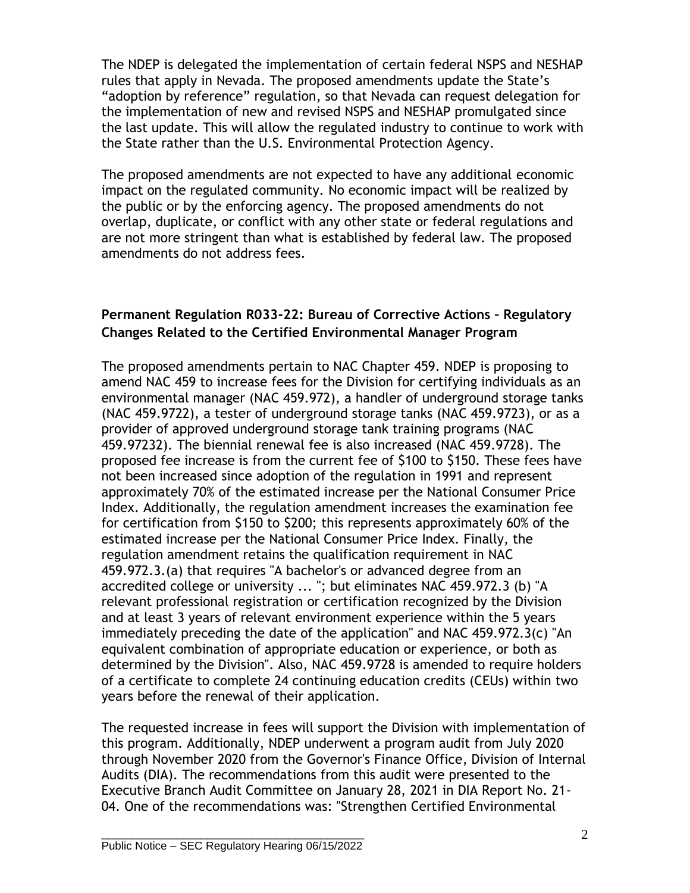The NDEP is delegated the implementation of certain federal NSPS and NESHAP rules that apply in Nevada. The proposed amendments update the State's "adoption by reference" regulation, so that Nevada can request delegation for the implementation of new and revised NSPS and NESHAP promulgated since the last update. This will allow the regulated industry to continue to work with the State rather than the U.S. Environmental Protection Agency.

The proposed amendments are not expected to have any additional economic impact on the regulated community. No economic impact will be realized by the public or by the enforcing agency. The proposed amendments do not overlap, duplicate, or conflict with any other state or federal regulations and are not more stringent than what is established by federal law. The proposed amendments do not address fees.

## **Permanent Regulation R033-22: Bureau of Corrective Actions – Regulatory Changes Related to the Certified Environmental Manager Program**

The proposed amendments pertain to NAC Chapter 459. NDEP is proposing to amend NAC 459 to increase fees for the Division for certifying individuals as an environmental manager (NAC 459.972), a handler of underground storage tanks (NAC 459.9722), a tester of underground storage tanks (NAC 459.9723), or as a provider of approved underground storage tank training programs (NAC 459.97232). The biennial renewal fee is also increased (NAC 459.9728). The proposed fee increase is from the current fee of \$100 to \$150. These fees have not been increased since adoption of the regulation in 1991 and represent approximately 70% of the estimated increase per the National Consumer Price Index. Additionally, the regulation amendment increases the examination fee for certification from \$150 to \$200; this represents approximately 60% of the estimated increase per the National Consumer Price Index. Finally, the regulation amendment retains the qualification requirement in NAC 459.972.3.(a) that requires "A bachelor's or advanced degree from an accredited college or university ... "; but eliminates NAC 459.972.3 (b) "A relevant professional registration or certification recognized by the Division and at least 3 years of relevant environment experience within the 5 years immediately preceding the date of the application" and NAC 459.972.3(c) "An equivalent combination of appropriate education or experience, or both as determined by the Division". Also, NAC 459.9728 is amended to require holders of a certificate to complete 24 continuing education credits (CEUs) within two years before the renewal of their application.

The requested increase in fees will support the Division with implementation of this program. Additionally, NDEP underwent a program audit from July 2020 through November 2020 from the Governor's Finance Office, Division of Internal Audits (DIA). The recommendations from this audit were presented to the Executive Branch Audit Committee on January 28, 2021 in DIA Report No. 21- 04. One of the recommendations was: "Strengthen Certified Environmental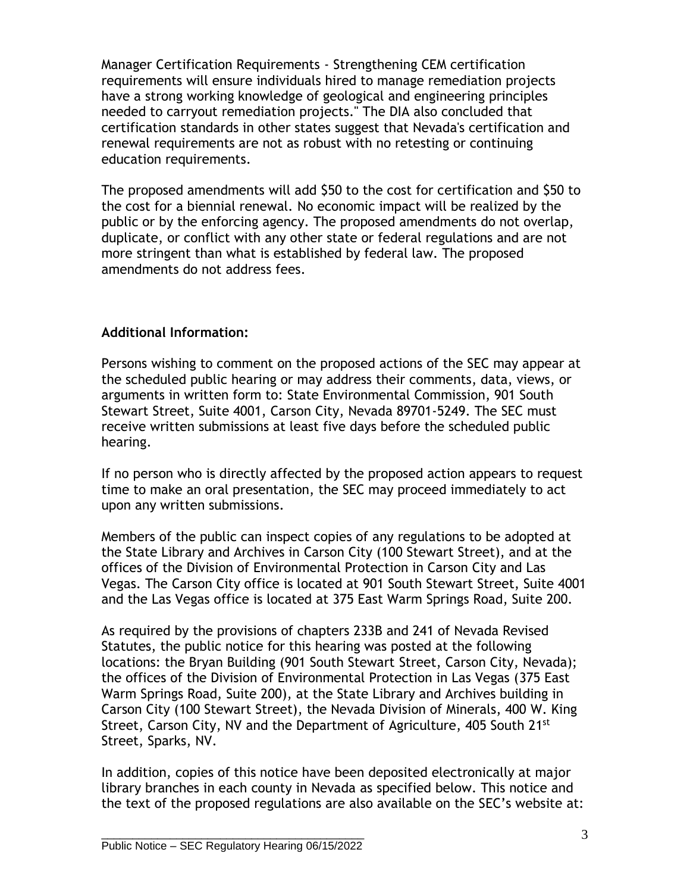Manager Certification Requirements - Strengthening CEM certification requirements will ensure individuals hired to manage remediation projects have a strong working knowledge of geological and engineering principles needed to carryout remediation projects." The DIA also concluded that certification standards in other states suggest that Nevada's certification and renewal requirements are not as robust with no retesting or continuing education requirements.

The proposed amendments will add \$50 to the cost for certification and \$50 to the cost for a biennial renewal. No economic impact will be realized by the public or by the enforcing agency. The proposed amendments do not overlap, duplicate, or conflict with any other state or federal regulations and are not more stringent than what is established by federal law. The proposed amendments do not address fees.

## **Additional Information:**

Persons wishing to comment on the proposed actions of the SEC may appear at the scheduled public hearing or may address their comments, data, views, or arguments in written form to: State Environmental Commission, 901 South Stewart Street, Suite 4001, Carson City, Nevada 89701-5249. The SEC must receive written submissions at least five days before the scheduled public hearing.

If no person who is directly affected by the proposed action appears to request time to make an oral presentation, the SEC may proceed immediately to act upon any written submissions.

Members of the public can inspect copies of any regulations to be adopted at the State Library and Archives in Carson City (100 Stewart Street), and at the offices of the Division of Environmental Protection in Carson City and Las Vegas. The Carson City office is located at 901 South Stewart Street, Suite 4001 and the Las Vegas office is located at 375 East Warm Springs Road, Suite 200.

As required by the provisions of chapters 233B and 241 of Nevada Revised Statutes, the public notice for this hearing was posted at the following locations: the Bryan Building (901 South Stewart Street, Carson City, Nevada); the offices of the Division of Environmental Protection in Las Vegas (375 East Warm Springs Road, Suite 200), at the State Library and Archives building in Carson City (100 Stewart Street), the Nevada Division of Minerals, 400 W. King Street, Carson City, NV and the Department of Agriculture, 405 South 21<sup>st</sup> Street, Sparks, NV.

In addition, copies of this notice have been deposited electronically at major library branches in each county in Nevada as specified below. This notice and the text of the proposed regulations are also available on the SEC's website at: